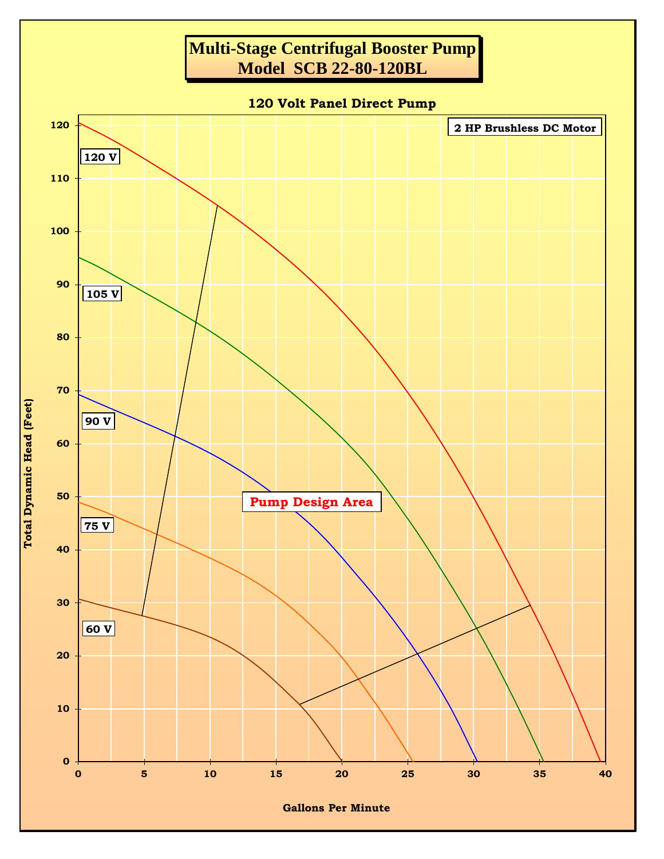